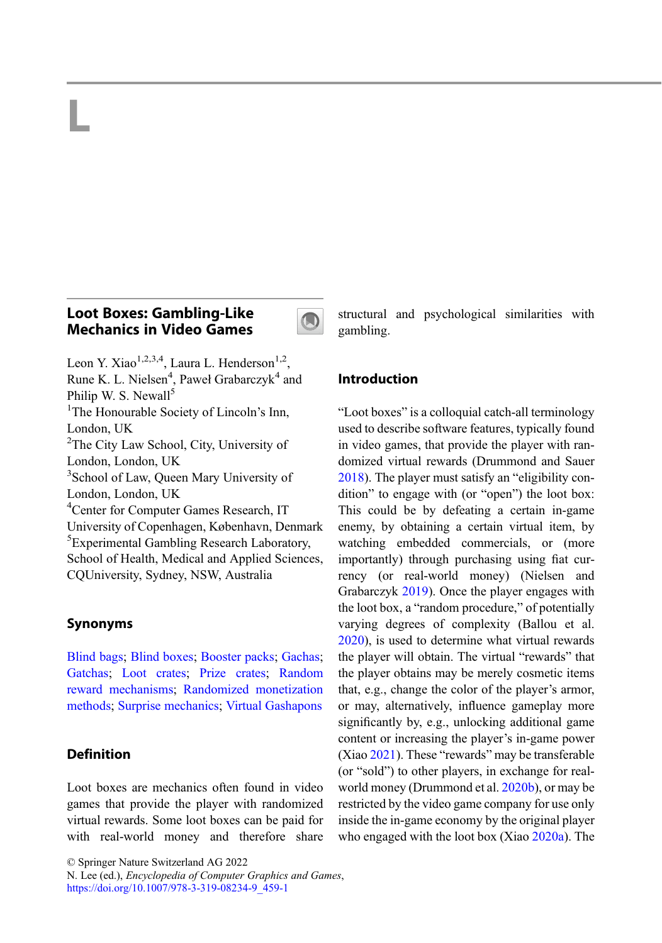# L

# Loot Boxes: Gambling-Like Mechanics in Video Games



Leon Y. Xiao<sup>1,2,3,4</sup>, Laura L. Henderson<sup>1,2</sup>, Rune K. L. Nielsen<sup>4</sup>, Paweł Grabarczyk<sup>4</sup> and Philip W. S. Newall<sup>5</sup> <sup>1</sup>The Honourable Society of Lincoln's Inn, London, UK <sup>2</sup>The City Law School, City, University of London, London, UK <sup>3</sup> School of Law, Queen Mary University of London, London, UK 4 Center for Computer Games Research, IT University of Copenhagen, København, Denmark 5 Experimental Gambling Research Laboratory, School of Health, Medical and Applied Sciences, CQUniversity, Sydney, NSW, Australia

### Synonyms

[Blind bags](http://link.springer.com/search?facet-eisbn=978-3-319-08234-9&facet-content-type=ReferenceWorkEntry&query=Blind bags); [Blind boxes;](http://link.springer.com/search?facet-eisbn=978-3-319-08234-9&facet-content-type=ReferenceWorkEntry&query=Blind boxes) [Booster packs](http://link.springer.com/search?facet-eisbn=978-3-319-08234-9&facet-content-type=ReferenceWorkEntry&query=Booster packs); [Gachas;](http://link.springer.com/search?facet-eisbn=978-3-319-08234-9&facet-content-type=ReferenceWorkEntry&query=Gachas) [Gatchas;](http://link.springer.com/search?facet-eisbn=978-3-319-08234-9&facet-content-type=ReferenceWorkEntry&query=Gatchas) [Loot crates](http://link.springer.com/search?facet-eisbn=978-3-319-08234-9&facet-content-type=ReferenceWorkEntry&query=Loot crates); [Prize crates;](http://link.springer.com/search?facet-eisbn=978-3-319-08234-9&facet-content-type=ReferenceWorkEntry&query=Prize crates) [Random](http://link.springer.com/search?facet-eisbn=978-3-319-08234-9&facet-content-type=ReferenceWorkEntry&query=Random reward mechanisms) [reward mechanisms](http://link.springer.com/search?facet-eisbn=978-3-319-08234-9&facet-content-type=ReferenceWorkEntry&query=Random reward mechanisms); [Randomized monetization](http://link.springer.com/search?facet-eisbn=978-3-319-08234-9&facet-content-type=ReferenceWorkEntry&query=Randomized monetization methods) [methods;](http://link.springer.com/search?facet-eisbn=978-3-319-08234-9&facet-content-type=ReferenceWorkEntry&query=Randomized monetization methods) [Surprise mechanics](http://link.springer.com/search?facet-eisbn=978-3-319-08234-9&facet-content-type=ReferenceWorkEntry&query=Surprise mechanics); [Virtual Gashapons](http://link.springer.com/search?facet-eisbn=978-3-319-08234-9&facet-content-type=ReferenceWorkEntry&query=Virtual Gashapons)

## **Definition**

Loot boxes are mechanics often found in video games that provide the player with randomized virtual rewards. Some loot boxes can be paid for with real-world money and therefore share

© Springer Nature Switzerland AG 2022

structural and psychological similarities with gambling.

## Introduction

"Loot boxes" is a colloquial catch-all terminology used to describe software features, typically found in video games, that provide the player with randomized virtual rewards (Drummond and Sauer [2018\)](#page-5-0). The player must satisfy an "eligibility condition" to engage with (or "open") the loot box: This could be by defeating a certain in-game enemy, by obtaining a certain virtual item, by watching embedded commercials, or (more importantly) through purchasing using fiat currency (or real-world money) (Nielsen and Grabarczyk [2019\)](#page-5-0). Once the player engages with the loot box, a "random procedure," of potentially varying degrees of complexity (Ballou et al. [2020\)](#page-5-0), is used to determine what virtual rewards the player will obtain. The virtual "rewards" that the player obtains may be merely cosmetic items that, e.g., change the color of the player's armor, or may, alternatively, influence gameplay more significantly by, e.g., unlocking additional game content or increasing the player's in-game power (Xiao [2021](#page-6-0)). These "rewards" may be transferable (or "sold") to other players, in exchange for real-world money (Drummond et al. [2020b\)](#page-5-0), or may be restricted by the video game company for use only inside the in-game economy by the original player who engaged with the loot box (Xiao [2020a](#page-6-0)). The

N. Lee (ed.), Encyclopedia of Computer Graphics and Games, [https://doi.org/10.1007/978-3-319-08234-9\\_459-1](https://doi.org/10.1007/978-3-319-08234-9_459-1)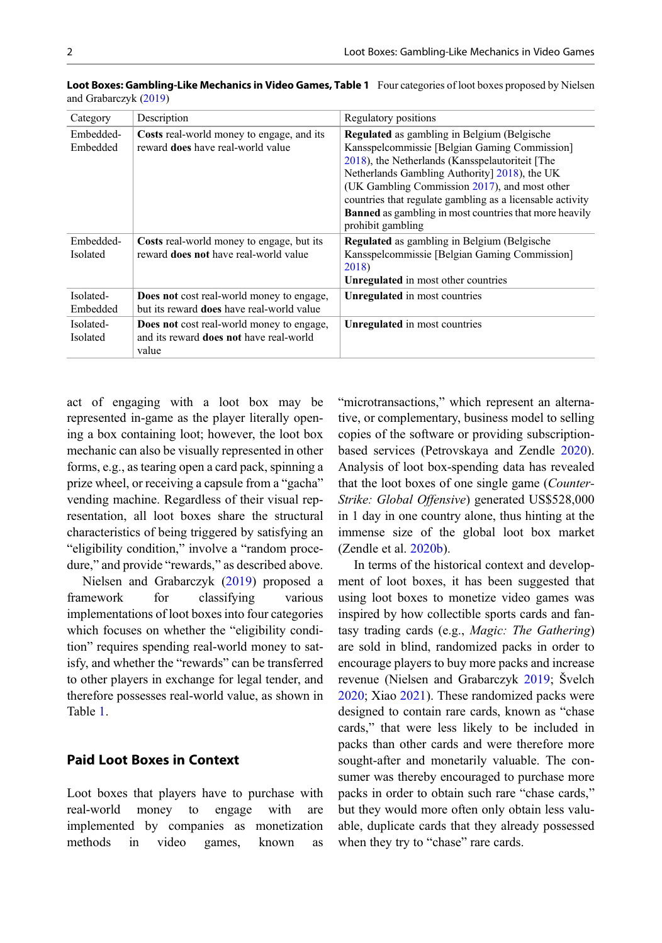| Category              | Description                                                                                                 | Regulatory positions                                                                             |
|-----------------------|-------------------------------------------------------------------------------------------------------------|--------------------------------------------------------------------------------------------------|
| Embedded-<br>Embedded | <b>Costs</b> real-world money to engage, and its<br>reward <b>does</b> have real-world value                | <b>Regulated</b> as gambling in Belgium (Belgische                                               |
|                       |                                                                                                             | Kansspelcommissie [Belgian Gaming Commission]<br>2018), the Netherlands (Kansspelautoriteit [The |
|                       |                                                                                                             | Netherlands Gambling Authority] 2018), the UK                                                    |
|                       |                                                                                                             | (UK Gambling Commission 2017), and most other                                                    |
|                       |                                                                                                             | countries that regulate gambling as a licensable activity                                        |
|                       |                                                                                                             | <b>Banned</b> as gambling in most countries that more heavily<br>prohibit gambling               |
| Embedded-             | Costs real-world money to engage, but its                                                                   | <b>Regulated</b> as gambling in Belgium (Belgische                                               |
| <b>Isolated</b>       | reward <b>does not</b> have real-world value                                                                | Kansspelcommissie [Belgian Gaming Commission]                                                    |
|                       |                                                                                                             | 2018)                                                                                            |
|                       |                                                                                                             | Unregulated in most other countries                                                              |
| Isolated-<br>Embedded | <b>Does not</b> cost real-world money to engage,<br>but its reward <b>does</b> have real-world value        | Unregulated in most countries                                                                    |
| Isolated-<br>Isolated | <b>Does not</b> cost real-world money to engage,<br>and its reward <b>does not</b> have real-world<br>value | Unregulated in most countries                                                                    |

<span id="page-1-0"></span>Loot Boxes: Gambling-Like Mechanics in Video Games, Table 1 Four categories of loot boxes proposed by Nielsen and Grabarczyk [\(2019](#page-5-0))

act of engaging with a loot box may be represented in-game as the player literally opening a box containing loot; however, the loot box mechanic can also be visually represented in other forms, e.g., as tearing open a card pack, spinning a prize wheel, or receiving a capsule from a "gacha" vending machine. Regardless of their visual representation, all loot boxes share the structural characteristics of being triggered by satisfying an "eligibility condition," involve a "random procedure," and provide "rewards," as described above.

Nielsen and Grabarczyk [\(2019](#page-5-0)) proposed a framework for classifying various implementations of loot boxes into four categories which focuses on whether the "eligibility condition" requires spending real-world money to satisfy, and whether the "rewards" can be transferred to other players in exchange for legal tender, and therefore possesses real-world value, as shown in Table 1.

#### Paid Loot Boxes in Context

Loot boxes that players have to purchase with real-world money to engage with are implemented by companies as monetization methods in video games, known as

"microtransactions," which represent an alternative, or complementary, business model to selling copies of the software or providing subscriptionbased services (Petrovskaya and Zendle [2020\)](#page-5-0). Analysis of loot box-spending data has revealed that the loot boxes of one single game (Counter-Strike: Global Offensive) generated US\$528,000 in 1 day in one country alone, thus hinting at the immense size of the global loot box market (Zendle et al. [2020b](#page-6-0)).

In terms of the historical context and development of loot boxes, it has been suggested that using loot boxes to monetize video games was inspired by how collectible sports cards and fantasy trading cards (e.g., Magic: The Gathering) are sold in blind, randomized packs in order to encourage players to buy more packs and increase revenue (Nielsen and Grabarczyk [2019;](#page-5-0) Švelch [2020;](#page-6-0) Xiao [2021](#page-6-0)). These randomized packs were designed to contain rare cards, known as "chase cards," that were less likely to be included in packs than other cards and were therefore more sought-after and monetarily valuable. The consumer was thereby encouraged to purchase more packs in order to obtain such rare "chase cards," but they would more often only obtain less valuable, duplicate cards that they already possessed when they try to "chase" rare cards.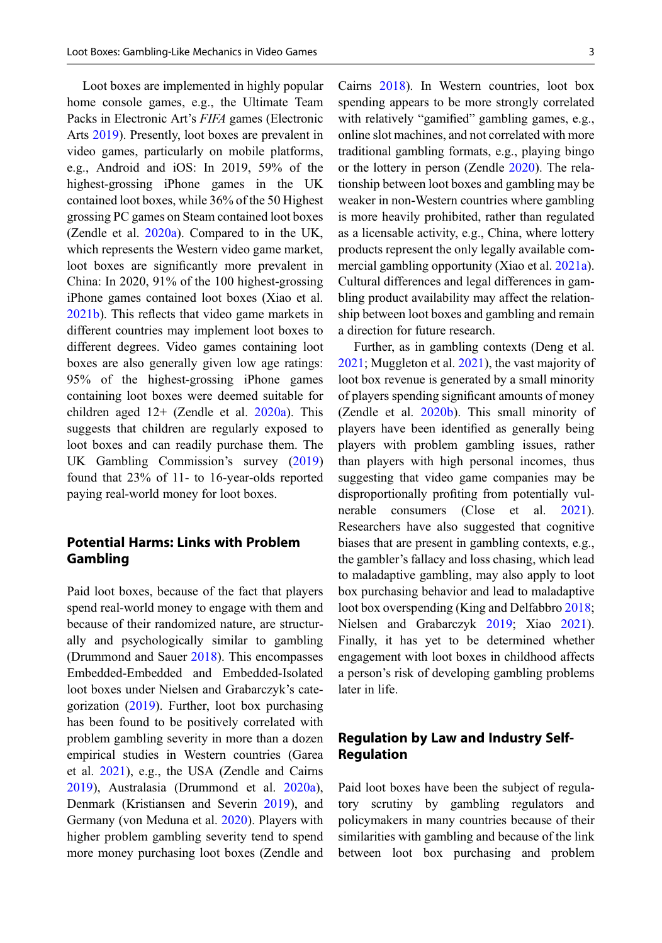Loot boxes are implemented in highly popular home console games, e.g., the Ultimate Team Packs in Electronic Art's FIFA games (Electronic Arts [2019\)](#page-5-0). Presently, loot boxes are prevalent in video games, particularly on mobile platforms, e.g., Android and iOS: In 2019, 59% of the highest-grossing iPhone games in the UK contained loot boxes, while 36% of the 50 Highest grossing PC games on Steam contained loot boxes (Zendle et al. [2020a\)](#page-6-0). Compared to in the UK, which represents the Western video game market, loot boxes are significantly more prevalent in China: In 2020, 91% of the 100 highest-grossing iPhone games contained loot boxes (Xiao et al. [2021b\)](#page-6-0). This reflects that video game markets in different countries may implement loot boxes to different degrees. Video games containing loot boxes are also generally given low age ratings: 95% of the highest-grossing iPhone games containing loot boxes were deemed suitable for children aged  $12+$  (Zendle et al. [2020a](#page-6-0)). This suggests that children are regularly exposed to loot boxes and can readily purchase them. The UK Gambling Commission's survey [\(2019](#page-6-0)) found that 23% of 11- to 16-year-olds reported paying real-world money for loot boxes.

# Potential Harms: Links with Problem Gambling

Paid loot boxes, because of the fact that players spend real-world money to engage with them and because of their randomized nature, are structurally and psychologically similar to gambling (Drummond and Sauer [2018\)](#page-5-0). This encompasses Embedded-Embedded and Embedded-Isolated loot boxes under Nielsen and Grabarczyk's categorization ([2019\)](#page-5-0). Further, loot box purchasing has been found to be positively correlated with problem gambling severity in more than a dozen empirical studies in Western countries (Garea et al. [2021](#page-5-0)), e.g., the USA (Zendle and Cairns [2019\)](#page-6-0), Australasia (Drummond et al. [2020a\)](#page-5-0), Denmark (Kristiansen and Severin [2019](#page-5-0)), and Germany (von Meduna et al. [2020\)](#page-6-0). Players with higher problem gambling severity tend to spend more money purchasing loot boxes (Zendle and Cairns [2018](#page-6-0)). In Western countries, loot box spending appears to be more strongly correlated with relatively "gamified" gambling games, e.g., online slot machines, and not correlated with more traditional gambling formats, e.g., playing bingo or the lottery in person (Zendle [2020](#page-6-0)). The relationship between loot boxes and gambling may be weaker in non-Western countries where gambling is more heavily prohibited, rather than regulated as a licensable activity, e.g., China, where lottery products represent the only legally available commercial gambling opportunity (Xiao et al. [2021a\)](#page-6-0). Cultural differences and legal differences in gambling product availability may affect the relationship between loot boxes and gambling and remain a direction for future research.

Further, as in gambling contexts (Deng et al. [2021;](#page-5-0) Muggleton et al. [2021\)](#page-5-0), the vast majority of loot box revenue is generated by a small minority of players spending significant amounts of money (Zendle et al. [2020b\)](#page-6-0). This small minority of players have been identified as generally being players with problem gambling issues, rather than players with high personal incomes, thus suggesting that video game companies may be disproportionally profiting from potentially vulnerable consumers (Close et al. [2021\)](#page-5-0). Researchers have also suggested that cognitive biases that are present in gambling contexts, e.g., the gambler's fallacy and loss chasing, which lead to maladaptive gambling, may also apply to loot box purchasing behavior and lead to maladaptive loot box overspending (King and Delfabbro [2018;](#page-5-0) Nielsen and Grabarczyk [2019;](#page-5-0) Xiao [2021\)](#page-6-0). Finally, it has yet to be determined whether engagement with loot boxes in childhood affects a person's risk of developing gambling problems later in life.

## Regulation by Law and Industry Self-Regulation

Paid loot boxes have been the subject of regulatory scrutiny by gambling regulators and policymakers in many countries because of their similarities with gambling and because of the link between loot box purchasing and problem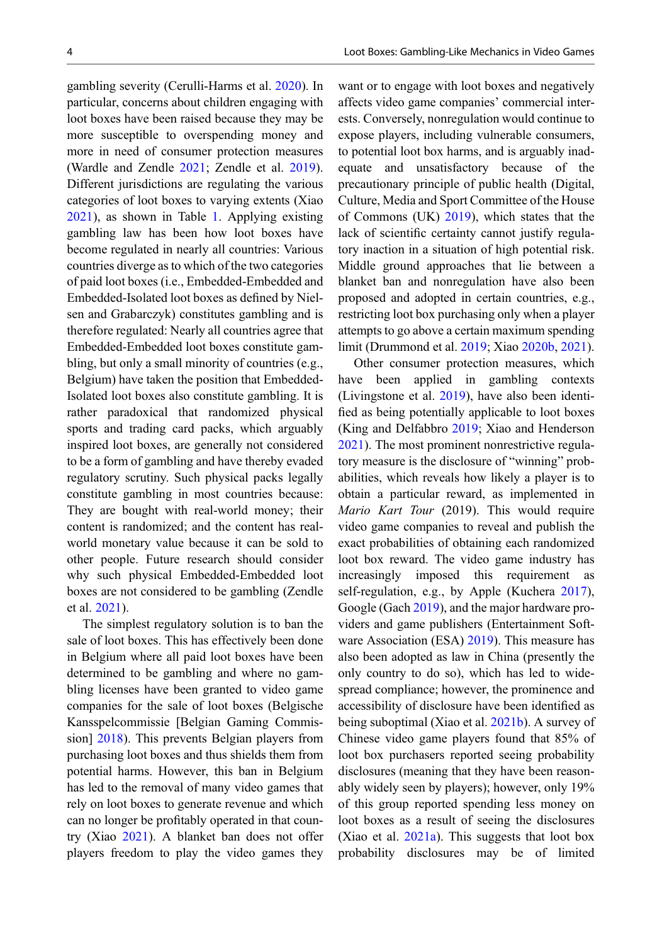gambling severity (Cerulli-Harms et al. [2020\)](#page-5-0). In particular, concerns about children engaging with loot boxes have been raised because they may be more susceptible to overspending money and more in need of consumer protection measures (Wardle and Zendle [2021](#page-6-0); Zendle et al. [2019\)](#page-6-0). Different jurisdictions are regulating the various categories of loot boxes to varying extents (Xiao [2021\)](#page-6-0), as shown in Table [1.](#page-1-0) Applying existing gambling law has been how loot boxes have become regulated in nearly all countries: Various countries diverge as to which of the two categories of paid loot boxes (i.e., Embedded-Embedded and Embedded-Isolated loot boxes as defined by Nielsen and Grabarczyk) constitutes gambling and is therefore regulated: Nearly all countries agree that Embedded-Embedded loot boxes constitute gambling, but only a small minority of countries (e.g., Belgium) have taken the position that Embedded-Isolated loot boxes also constitute gambling. It is rather paradoxical that randomized physical sports and trading card packs, which arguably inspired loot boxes, are generally not considered to be a form of gambling and have thereby evaded regulatory scrutiny. Such physical packs legally constitute gambling in most countries because: They are bought with real-world money; their content is randomized; and the content has realworld monetary value because it can be sold to other people. Future research should consider why such physical Embedded-Embedded loot boxes are not considered to be gambling (Zendle et al. [2021\)](#page-6-0).

The simplest regulatory solution is to ban the sale of loot boxes. This has effectively been done in Belgium where all paid loot boxes have been determined to be gambling and where no gambling licenses have been granted to video game companies for the sale of loot boxes (Belgische Kansspelcommissie [Belgian Gaming Commission] [2018](#page-5-0)). This prevents Belgian players from purchasing loot boxes and thus shields them from potential harms. However, this ban in Belgium has led to the removal of many video games that rely on loot boxes to generate revenue and which can no longer be profitably operated in that country (Xiao [2021](#page-6-0)). A blanket ban does not offer players freedom to play the video games they

want or to engage with loot boxes and negatively affects video game companies' commercial interests. Conversely, nonregulation would continue to expose players, including vulnerable consumers, to potential loot box harms, and is arguably inadequate and unsatisfactory because of the precautionary principle of public health (Digital, Culture, Media and Sport Committee of the House of Commons (UK) [2019](#page-5-0)), which states that the lack of scientific certainty cannot justify regulatory inaction in a situation of high potential risk. Middle ground approaches that lie between a blanket ban and nonregulation have also been proposed and adopted in certain countries, e.g., restricting loot box purchasing only when a player attempts to go above a certain maximum spending limit (Drummond et al. [2019](#page-5-0); Xiao [2020b](#page-6-0), [2021\)](#page-6-0).

Other consumer protection measures, which have been applied in gambling contexts (Livingstone et al. [2019](#page-5-0)), have also been identified as being potentially applicable to loot boxes (King and Delfabbro [2019;](#page-5-0) Xiao and Henderson [2021\)](#page-6-0). The most prominent nonrestrictive regulatory measure is the disclosure of "winning" probabilities, which reveals how likely a player is to obtain a particular reward, as implemented in Mario Kart Tour (2019). This would require video game companies to reveal and publish the exact probabilities of obtaining each randomized loot box reward. The video game industry has increasingly imposed this requirement as self-regulation, e.g., by Apple (Kuchera [2017\)](#page-5-0), Google (Gach [2019](#page-5-0)), and the major hardware providers and game publishers (Entertainment Soft-ware Association (ESA) [2019\)](#page-5-0). This measure has also been adopted as law in China (presently the only country to do so), which has led to widespread compliance; however, the prominence and accessibility of disclosure have been identified as being suboptimal (Xiao et al. [2021b](#page-6-0)). A survey of Chinese video game players found that 85% of loot box purchasers reported seeing probability disclosures (meaning that they have been reasonably widely seen by players); however, only 19% of this group reported spending less money on loot boxes as a result of seeing the disclosures (Xiao et al. [2021a\)](#page-6-0). This suggests that loot box probability disclosures may be of limited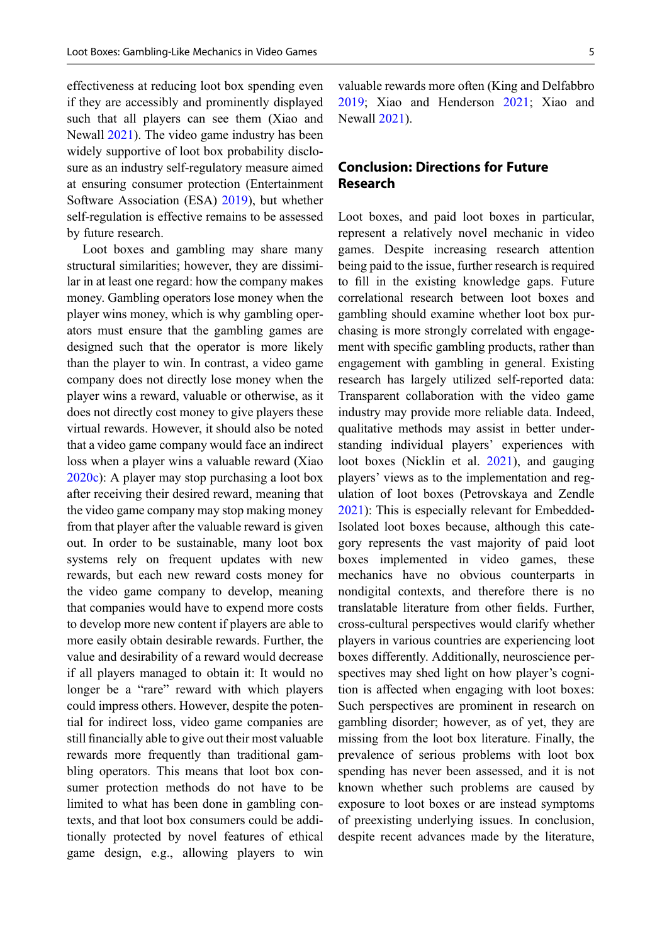effectiveness at reducing loot box spending even if they are accessibly and prominently displayed such that all players can see them (Xiao and Newall [2021](#page-6-0)). The video game industry has been widely supportive of loot box probability disclosure as an industry self-regulatory measure aimed at ensuring consumer protection (Entertainment Software Association (ESA) [2019](#page-5-0)), but whether self-regulation is effective remains to be assessed by future research.

Loot boxes and gambling may share many structural similarities; however, they are dissimilar in at least one regard: how the company makes money. Gambling operators lose money when the player wins money, which is why gambling operators must ensure that the gambling games are designed such that the operator is more likely than the player to win. In contrast, a video game company does not directly lose money when the player wins a reward, valuable or otherwise, as it does not directly cost money to give players these virtual rewards. However, it should also be noted that a video game company would face an indirect loss when a player wins a valuable reward (Xiao [2020c](#page-6-0)): A player may stop purchasing a loot box after receiving their desired reward, meaning that the video game company may stop making money from that player after the valuable reward is given out. In order to be sustainable, many loot box systems rely on frequent updates with new rewards, but each new reward costs money for the video game company to develop, meaning that companies would have to expend more costs to develop more new content if players are able to more easily obtain desirable rewards. Further, the value and desirability of a reward would decrease if all players managed to obtain it: It would no longer be a "rare" reward with which players could impress others. However, despite the potential for indirect loss, video game companies are still financially able to give out their most valuable rewards more frequently than traditional gambling operators. This means that loot box consumer protection methods do not have to be limited to what has been done in gambling contexts, and that loot box consumers could be additionally protected by novel features of ethical game design, e.g., allowing players to win

valuable rewards more often (King and Delfabbro [2019;](#page-5-0) Xiao and Henderson [2021;](#page-6-0) Xiao and Newall [2021\)](#page-6-0).

# Conclusion: Directions for Future Research

Loot boxes, and paid loot boxes in particular, represent a relatively novel mechanic in video games. Despite increasing research attention being paid to the issue, further research is required to fill in the existing knowledge gaps. Future correlational research between loot boxes and gambling should examine whether loot box purchasing is more strongly correlated with engagement with specific gambling products, rather than engagement with gambling in general. Existing research has largely utilized self-reported data: Transparent collaboration with the video game industry may provide more reliable data. Indeed, qualitative methods may assist in better understanding individual players' experiences with loot boxes (Nicklin et al. [2021](#page-5-0)), and gauging players' views as to the implementation and regulation of loot boxes (Petrovskaya and Zendle [2021\)](#page-6-0): This is especially relevant for Embedded-Isolated loot boxes because, although this category represents the vast majority of paid loot boxes implemented in video games, these mechanics have no obvious counterparts in nondigital contexts, and therefore there is no translatable literature from other fields. Further, cross-cultural perspectives would clarify whether players in various countries are experiencing loot boxes differently. Additionally, neuroscience perspectives may shed light on how player's cognition is affected when engaging with loot boxes: Such perspectives are prominent in research on gambling disorder; however, as of yet, they are missing from the loot box literature. Finally, the prevalence of serious problems with loot box spending has never been assessed, and it is not known whether such problems are caused by exposure to loot boxes or are instead symptoms of preexisting underlying issues. In conclusion, despite recent advances made by the literature,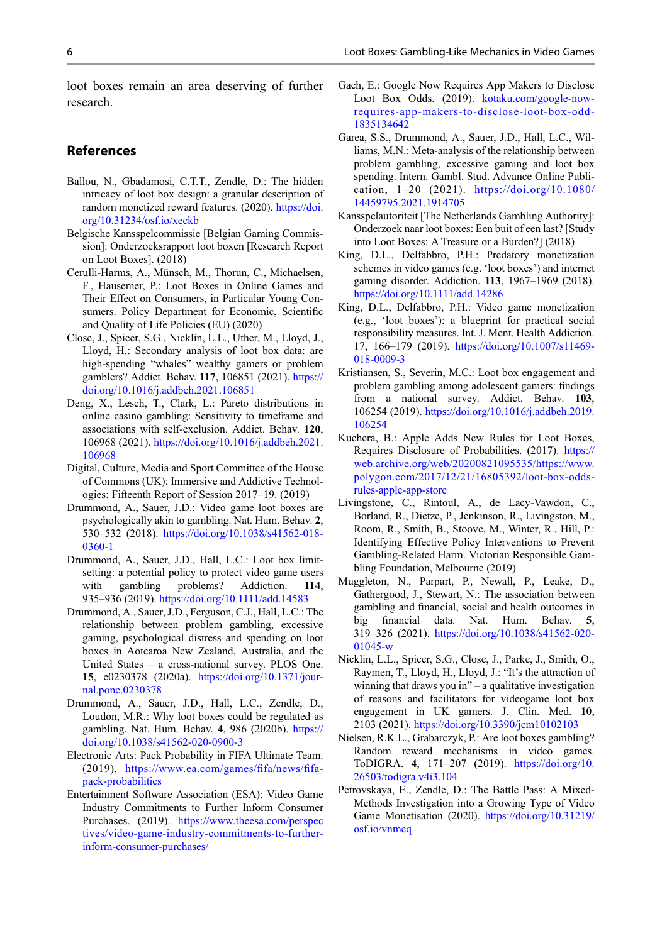<span id="page-5-0"></span>loot boxes remain an area deserving of further research.

#### References

- Ballou, N., Gbadamosi, C.T.T., Zendle, D.: The hidden intricacy of loot box design: a granular description of random monetized reward features. (2020). [https://doi.](https://doi.org/10.31234/osf.io/xeckb) [org/10.31234/osf.io/xeckb](https://doi.org/10.31234/osf.io/xeckb)
- Belgische Kansspelcommissie [Belgian Gaming Commission]: Onderzoeksrapport loot boxen [Research Report on Loot Boxes]. (2018)
- Cerulli-Harms, A., Münsch, M., Thorun, C., Michaelsen, F., Hausemer, P.: Loot Boxes in Online Games and Their Effect on Consumers, in Particular Young Consumers. Policy Department for Economic, Scientific and Quality of Life Policies (EU) (2020)
- Close, J., Spicer, S.G., Nicklin, L.L., Uther, M., Lloyd, J., Lloyd, H.: Secondary analysis of loot box data: are high-spending "whales" wealthy gamers or problem gamblers? Addict. Behav. 117, 106851 (2021). [https://](https://doi.org/10.1016/j.addbeh.2021.106851) [doi.org/10.1016/j.addbeh.2021.106851](https://doi.org/10.1016/j.addbeh.2021.106851)
- Deng, X., Lesch, T., Clark, L.: Pareto distributions in online casino gambling: Sensitivity to timeframe and associations with self-exclusion. Addict. Behav. 120, 106968 (2021). [https://doi.org/10.1016/j.addbeh.2021.](https://doi.org/10.1016/j.addbeh.2021.106968) [106968](https://doi.org/10.1016/j.addbeh.2021.106968)
- Digital, Culture, Media and Sport Committee of the House of Commons (UK): Immersive and Addictive Technologies: Fifteenth Report of Session 2017–19. (2019)
- Drummond, A., Sauer, J.D.: Video game loot boxes are psychologically akin to gambling. Nat. Hum. Behav. 2, 530–532 (2018). [https://doi.org/10.1038/s41562-018-](https://doi.org/10.1038/s41562-018-0360-1) [0360-1](https://doi.org/10.1038/s41562-018-0360-1)
- Drummond, A., Sauer, J.D., Hall, L.C.: Loot box limitsetting: a potential policy to protect video game users with gambling problems? Addiction. 114, 935–936 (2019). <https://doi.org/10.1111/add.14583>
- Drummond, A., Sauer, J.D., Ferguson, C.J., Hall, L.C.: The relationship between problem gambling, excessive gaming, psychological distress and spending on loot boxes in Aotearoa New Zealand, Australia, and the United States – a cross-national survey. PLOS One. 15, e0230378 (2020a). [https://doi.org/10.1371/jour](https://doi.org/10.1371/journal.pone.0230378)[nal.pone.0230378](https://doi.org/10.1371/journal.pone.0230378)
- Drummond, A., Sauer, J.D., Hall, L.C., Zendle, D., Loudon, M.R.: Why loot boxes could be regulated as gambling. Nat. Hum. Behav. 4, 986 (2020b). [https://](https://doi.org/10.1038/s41562-020-0900-3) [doi.org/10.1038/s41562-020-0900-3](https://doi.org/10.1038/s41562-020-0900-3)
- Electronic Arts: Pack Probability in FIFA Ultimate Team. (2019). [https://www.ea.com/games/](https://www.ea.com/games/fifa/news/fifa-pack-probabilities)fifa/news/fifa[pack-probabilities](https://www.ea.com/games/fifa/news/fifa-pack-probabilities)
- Entertainment Software Association (ESA): Video Game Industry Commitments to Further Inform Consumer Purchases. (2019). [https://www.theesa.com/perspec](https://www.theesa.com/perspectives/video-game-industry-commitments-to-further-inform-consumer-purchases/) [tives/video-game-industry-commitments-to-further](https://www.theesa.com/perspectives/video-game-industry-commitments-to-further-inform-consumer-purchases/)[inform-consumer-purchases/](https://www.theesa.com/perspectives/video-game-industry-commitments-to-further-inform-consumer-purchases/)
- Gach, E.: Google Now Requires App Makers to Disclose Loot Box Odds. (2019). [kotaku.com/google-now](http://kotaku.com/google-now-requires-app-makers-to-disclose-loot-box-odd-1835134642)[requires-app-makers-to-disclose-loot-box-odd-](http://kotaku.com/google-now-requires-app-makers-to-disclose-loot-box-odd-1835134642)[1835134642](http://kotaku.com/google-now-requires-app-makers-to-disclose-loot-box-odd-1835134642)
- Garea, S.S., Drummond, A., Sauer, J.D., Hall, L.C., Williams, M.N.: Meta-analysis of the relationship between problem gambling, excessive gaming and loot box spending. Intern. Gambl. Stud. Advance Online Publication, 1–20 (2021). [https://doi.org/10.1080/](https://doi.org/10.1080/14459795.2021.1914705) [14459795.2021.1914705](https://doi.org/10.1080/14459795.2021.1914705)
- Kansspelautoriteit [The Netherlands Gambling Authority]: Onderzoek naar loot boxes: Een buit of een last? [Study into Loot Boxes: A Treasure or a Burden?] (2018)
- King, D.L., Delfabbro, P.H.: Predatory monetization schemes in video games (e.g. 'loot boxes') and internet gaming disorder. Addiction. 113, 1967–1969 (2018). <https://doi.org/10.1111/add.14286>
- King, D.L., Delfabbro, P.H.: Video game monetization (e.g., 'loot boxes'): a blueprint for practical social responsibility measures. Int. J. Ment. Health Addiction. 17, 166–179 (2019). [https://doi.org/10.1007/s11469-](https://doi.org/10.1007/s11469-018-0009-3) [018-0009-3](https://doi.org/10.1007/s11469-018-0009-3)
- Kristiansen, S., Severin, M.C.: Loot box engagement and problem gambling among adolescent gamers: findings from a national survey. Addict. Behav. 103, 106254 (2019). [https://doi.org/10.1016/j.addbeh.2019.](https://doi.org/10.1016/j.addbeh.2019.106254) [106254](https://doi.org/10.1016/j.addbeh.2019.106254)
- Kuchera, B.: Apple Adds New Rules for Loot Boxes, Requires Disclosure of Probabilities. (2017). [https://](https://web.archive.org/web/20200821095535/https://www.polygon.com/2017/12/21/16805392/loot-box-odds-rules-apple-app-store) [web.archive.org/web/20200821095535/https://www.](https://web.archive.org/web/20200821095535/https://www.polygon.com/2017/12/21/16805392/loot-box-odds-rules-apple-app-store) [polygon.com/2017/12/21/16805392/loot-box-odds](https://web.archive.org/web/20200821095535/https://www.polygon.com/2017/12/21/16805392/loot-box-odds-rules-apple-app-store)[rules-apple-app-store](https://web.archive.org/web/20200821095535/https://www.polygon.com/2017/12/21/16805392/loot-box-odds-rules-apple-app-store)
- Livingstone, C., Rintoul, A., de Lacy-Vawdon, C., Borland, R., Dietze, P., Jenkinson, R., Livingston, M., Room, R., Smith, B., Stoove, M., Winter, R., Hill, P.: Identifying Effective Policy Interventions to Prevent Gambling-Related Harm. Victorian Responsible Gambling Foundation, Melbourne (2019)
- Muggleton, N., Parpart, P., Newall, P., Leake, D., Gathergood, J., Stewart, N.: The association between gambling and financial, social and health outcomes in big financial data. Nat. Hum. Behav. 5, 319–326 (2021). [https://doi.org/10.1038/s41562-020-](https://doi.org/10.1038/s41562-020-01045-w) [01045-w](https://doi.org/10.1038/s41562-020-01045-w)
- Nicklin, L.L., Spicer, S.G., Close, J., Parke, J., Smith, O., Raymen, T., Lloyd, H., Lloyd, J.: "It's the attraction of winning that draws you in" – a qualitative investigation of reasons and facilitators for videogame loot box engagement in UK gamers. J. Clin. Med. 10, 2103 (2021). <https://doi.org/10.3390/jcm10102103>
- Nielsen, R.K.L., Grabarczyk, P.: Are loot boxes gambling? Random reward mechanisms in video games. ToDIGRA. 4, 171–207 (2019). [https://doi.org/10.](https://doi.org/10.26503/todigra.v4i3.104) [26503/todigra.v4i3.104](https://doi.org/10.26503/todigra.v4i3.104)
- Petrovskaya, E., Zendle, D.: The Battle Pass: A Mixed-Methods Investigation into a Growing Type of Video Game Monetisation (2020). [https://doi.org/10.31219/](https://doi.org/10.31219/osf.io/vnmeq) [osf.io/vnmeq](https://doi.org/10.31219/osf.io/vnmeq)